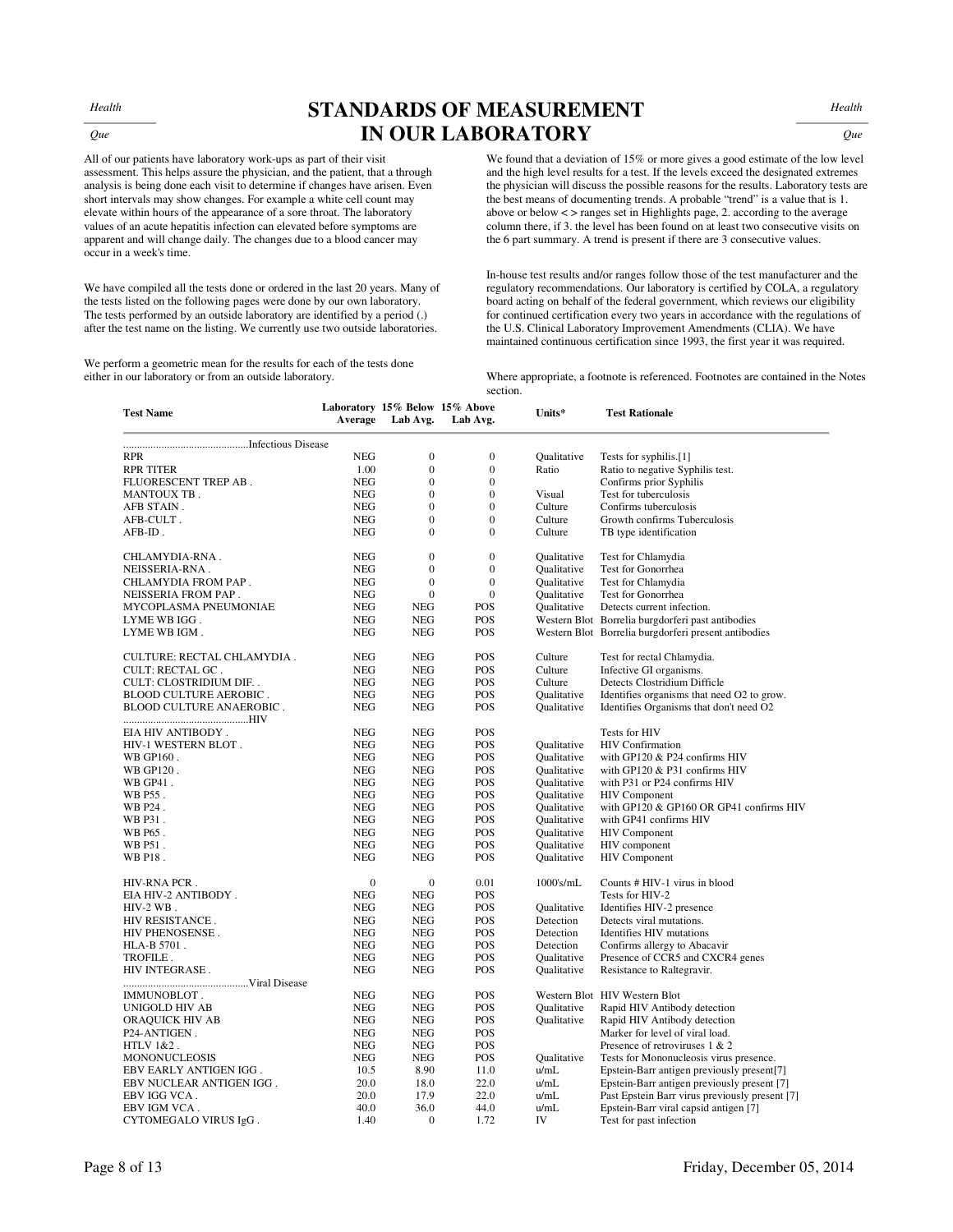*Health* 

 *Que*

## **STANDARDS OF MEASUREMENT IN OUR LABORATORY**

*Health* 

*Que* 

All of our patients have laboratory work-ups as part of their visit assessment. This helps assure the physician, and the patient, that a through analysis is being done each visit to determine if changes have arisen. Even short intervals may show changes. For example a white cell count may elevate within hours of the appearance of a sore throat. The laboratory values of an acute hepatitis infection can elevated before symptoms are apparent and will change daily. The changes due to a blood cancer may occur in a week's time.

We have compiled all the tests done or ordered in the last 20 years. Many of the tests listed on the following pages were done by our own laboratory. The tests performed by an outside laboratory are identified by a period (.) after the test name on the listing. We currently use two outside laboratories.

We perform a geometric mean for the results for each of the tests done either in our laboratory or from an outside laboratory.

We found that a deviation of 15% or more gives a good estimate of the low level and the high level results for a test. If the levels exceed the designated extremes the physician will discuss the possible reasons for the results. Laboratory tests are the best means of documenting trends. A probable "trend" is a value that is 1. above or below < > ranges set in Highlights page, 2. according to the average column there, if 3. the level has been found on at least two consecutive visits on the 6 part summary. A trend is present if there are 3 consecutive values.

In-house test results and/or ranges follow those of the test manufacturer and the regulatory recommendations. Our laboratory is certified by COLA, a regulatory board acting on behalf of the federal government, which reviews our eligibility for continued certification every two years in accordance with the regulations of the U.S. Clinical Laboratory Improvement Amendments (CLIA). We have maintained continuous certification since 1993, the first year it was required.

Where appropriate, a footnote is referenced. Footnotes are contained in the Notes section.

| <b>Test Name</b>              | Average      | Lab Avg.                 | Laboratory 15% Below 15% Above<br>Lab Avg. | Units*             | <b>Test Rationale</b>                                |
|-------------------------------|--------------|--------------------------|--------------------------------------------|--------------------|------------------------------------------------------|
|                               |              |                          |                                            |                    |                                                      |
| <b>RPR</b>                    | <b>NEG</b>   | $\boldsymbol{0}$         | $\boldsymbol{0}$                           | Oualitative        | Tests for syphilis.[1]                               |
| <b>RPR TITER</b>              | 1.00         | $\mathbf{0}$             | $\boldsymbol{0}$                           | Ratio              | Ratio to negative Syphilis test.                     |
| FLUORESCENT TREP AB.          | <b>NEG</b>   | $\mathbf{0}$             | $\boldsymbol{0}$                           |                    | Confirms prior Syphilis                              |
| MANTOUX TB.                   | <b>NEG</b>   | $\theta$                 | $\mathbf{0}$                               | Visual             | Test for tuberculosis                                |
| AFB STAIN.                    | <b>NEG</b>   | $\mathbf{0}$             | $\mathbf{0}$                               | Culture            | Confirms tuberculosis                                |
| AFB-CULT.                     | <b>NEG</b>   | $\mathbf{0}$             | $\boldsymbol{0}$                           | Culture            | Growth confirms Tuberculosis                         |
| AFB-ID.                       | <b>NEG</b>   | $\mathbf{0}$             | $\mathbf{0}$                               | Culture            | TB type identification                               |
| CHLAMYDIA-RNA .               | <b>NEG</b>   | $\mathbf{0}$             | $\overline{0}$                             | Oualitative        | Test for Chlamydia                                   |
| NEISSERIA-RNA.                | <b>NEG</b>   | $\mathbf{0}$             | $\boldsymbol{0}$                           | Oualitative        | Test for Gonorrhea                                   |
| CHLAMYDIA FROM PAP .          | <b>NEG</b>   | $\mathbf{0}$             | $\overline{0}$                             | Qualitative        | Test for Chlamydia                                   |
| NEISSERIA FROM PAP.           | <b>NEG</b>   | $\mathbf{0}$             | $\boldsymbol{0}$                           | <b>Qualitative</b> | Test for Gonorrhea                                   |
| MYCOPLASMA PNEUMONIAE         | <b>NEG</b>   | <b>NEG</b>               | POS                                        | Oualitative        | Detects current infection.                           |
| LYME WB IGG.                  | <b>NEG</b>   | <b>NEG</b>               | <b>POS</b>                                 |                    | Western Blot Borrelia burgdorferi past antibodies    |
| LYME WB IGM.                  | <b>NEG</b>   | <b>NEG</b>               | POS                                        |                    | Western Blot Borrelia burgdorferi present antibodies |
| CULTURE: RECTAL CHLAMYDIA.    | <b>NEG</b>   | <b>NEG</b>               | POS                                        | Culture            | Test for rectal Chlamydia.                           |
| <b>CULT: RECTAL GC.</b>       | <b>NEG</b>   | <b>NEG</b>               | <b>POS</b>                                 | Culture            | Infective GI organisms.                              |
| CULT: CLOSTRIDIUM DIF. .      | <b>NEG</b>   | <b>NEG</b>               | POS                                        | Culture            | Detects Clostridium Difficle                         |
| <b>BLOOD CULTURE AEROBIC.</b> | <b>NEG</b>   | <b>NEG</b>               | POS                                        | Qualitative        | Identifies organisms that need O2 to grow.           |
| BLOOD CULTURE ANAEROBIC .     | <b>NEG</b>   | <b>NEG</b>               | POS                                        | Oualitative        | Identifies Organisms that don't need O2              |
| EIA HIV ANTIBODY.             | <b>NEG</b>   | <b>NEG</b>               | POS                                        |                    | Tests for HIV                                        |
| HIV-1 WESTERN BLOT.           | <b>NEG</b>   | <b>NEG</b>               | POS                                        | Oualitative        | <b>HIV Confirmation</b>                              |
| WB GP160.                     | <b>NEG</b>   | <b>NEG</b>               | POS                                        | Oualitative        | with GP120 & P24 confirms HIV                        |
| WB GP120.                     | <b>NEG</b>   | <b>NEG</b>               | POS                                        | Oualitative        | with GP120 & P31 confirms HIV                        |
| WB GP41.                      | <b>NEG</b>   | <b>NEG</b>               | POS                                        | Oualitative        | with P31 or P24 confirms HIV                         |
| WB P55.                       | <b>NEG</b>   | <b>NEG</b>               | POS                                        | Oualitative        | <b>HIV</b> Component                                 |
| WB P24.                       | <b>NEG</b>   | <b>NEG</b>               | POS                                        | Oualitative        | with GP120 & GP160 OR GP41 confirms HIV              |
| WB P31.                       | <b>NEG</b>   | <b>NEG</b>               | POS                                        | Qualitative        | with GP41 confirms HIV                               |
| WB P65.                       | <b>NEG</b>   | <b>NEG</b>               | POS                                        | <b>Qualitative</b> | <b>HIV</b> Component                                 |
| WB P51.                       | <b>NEG</b>   | <b>NEG</b>               | POS                                        | Qualitative        | HIV component                                        |
| WB P18.                       | <b>NEG</b>   | <b>NEG</b>               | <b>POS</b>                                 | Qualitative        | <b>HIV</b> Component                                 |
| HIV-RNA PCR.                  | $\mathbf{0}$ | $\mathbf{0}$             | 0.01                                       | $1000$ 's/mL       | Counts # HIV-1 virus in blood                        |
| EIA HIV-2 ANTIBODY.           | <b>NEG</b>   | <b>NEG</b>               | POS                                        |                    | Tests for HIV-2                                      |
| $HIV-2WB$ .                   | <b>NEG</b>   | <b>NEG</b>               | POS                                        | Qualitative        | Identifies HIV-2 presence                            |
| HIV RESISTANCE.               | <b>NEG</b>   | <b>NEG</b>               | POS                                        | Detection          | Detects viral mutations.                             |
| HIV PHENOSENSE.               | <b>NEG</b>   | <b>NEG</b>               | POS                                        | Detection          | Identifies HIV mutations                             |
| HLA-B 5701.                   | <b>NEG</b>   | <b>NEG</b>               | <b>POS</b>                                 | Detection          | Confirms allergy to Abacavir                         |
| TROFILE.                      | <b>NEG</b>   | <b>NEG</b>               | POS                                        | Oualitative        | Presence of CCR5 and CXCR4 genes                     |
| HIV INTEGRASE .               | <b>NEG</b>   | <b>NEG</b>               | POS                                        | Oualitative        | Resistance to Raltegravir.                           |
|                               | <b>NEG</b>   | <b>NEG</b>               | POS                                        |                    | Western Blot HIV Western Blot                        |
| IMMUNOBLOT .                  | <b>NEG</b>   | <b>NEG</b>               |                                            |                    |                                                      |
| UNIGOLD HIV AB                |              |                          | POS                                        | Qualitative        | Rapid HIV Antibody detection                         |
| ORAQUICK HIV AB               | <b>NEG</b>   | <b>NEG</b><br><b>NEG</b> | POS                                        | Oualitative        | Rapid HIV Antibody detection                         |
| P24-ANTIGEN.                  | <b>NEG</b>   |                          | POS                                        |                    | Marker for level of viral load.                      |
| HTLV 1&2.                     | <b>NEG</b>   | <b>NEG</b>               | POS                                        |                    | Presence of retroviruses 1 & 2                       |
| <b>MONONUCLEOSIS</b>          | <b>NEG</b>   | <b>NEG</b>               | <b>POS</b>                                 | <b>Qualitative</b> | Tests for Mononucleosis virus presence.              |
| EBV EARLY ANTIGEN IGG.        | 10.5         | 8.90                     | 11.0                                       | u/mL               | Epstein-Barr antigen previously present[7]           |
| EBV NUCLEAR ANTIGEN IGG.      | 20.0         | 18.0                     | 22.0                                       | u/mL               | Epstein-Barr antigen previously present [7]          |
| EBV IGG VCA.                  | 20.0         | 17.9                     | 22.0                                       | u/mL               | Past Epstein Barr virus previously present [7]       |
| EBV IGM VCA.                  | 40.0         | 36.0                     | 44.0                                       | u/mL               | Epstein-Barr viral capsid antigen [7]                |
| CYTOMEGALO VIRUS IgG.         | 1.40         | $\mathbf{0}$             | 1.72                                       | IV                 | Test for past infection                              |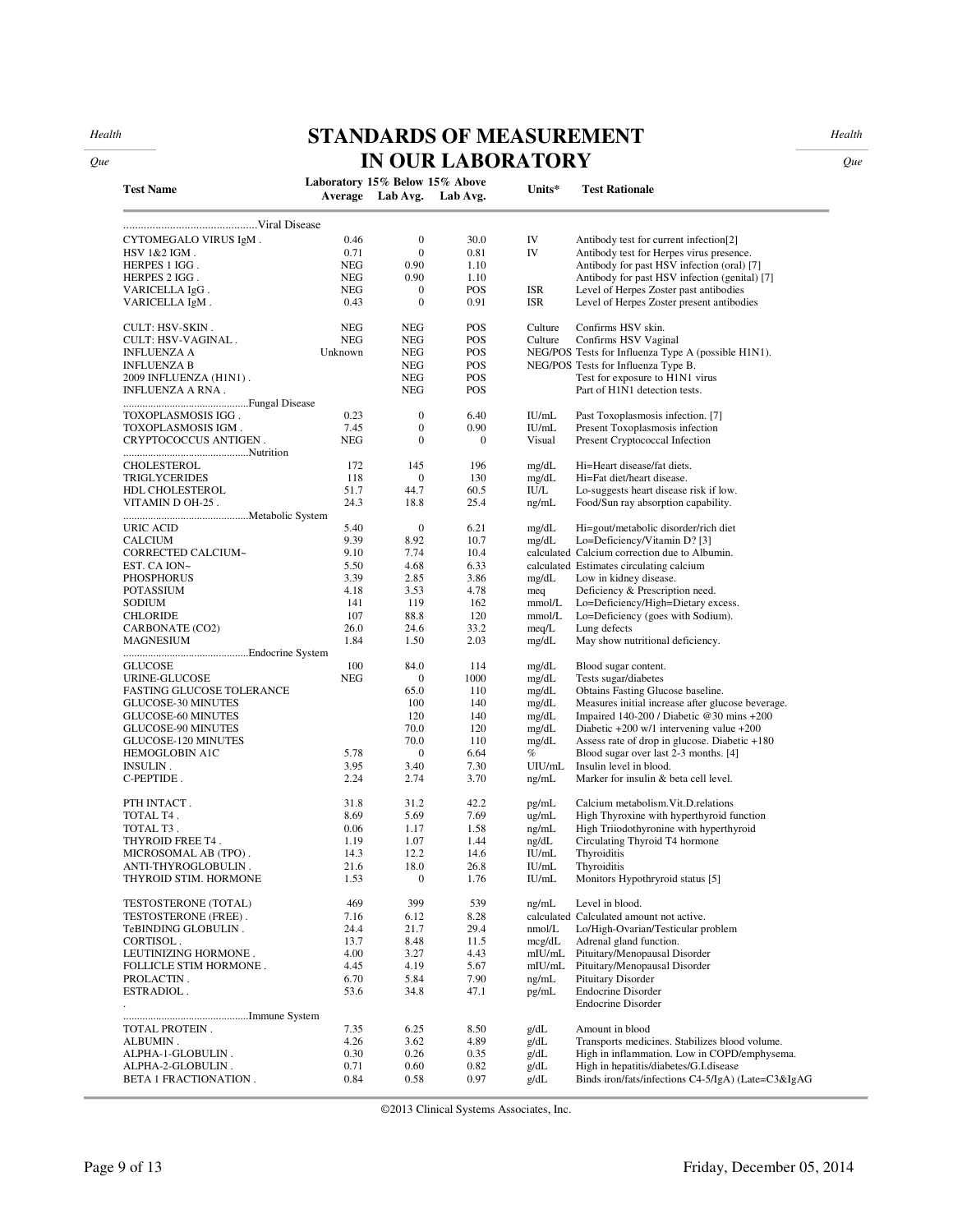*Health Que*

# **STANDARDS OF MEASUREMENT IN OUR LABORATORY**

*Health* 

*Que* 

| <b>Test Name</b>          | Laboratory 15% Below 15% Above | Average Lab Avg. | Lab Avg.   | Units*           | <b>Test Rationale</b>                                  |
|---------------------------|--------------------------------|------------------|------------|------------------|--------------------------------------------------------|
|                           |                                |                  |            |                  |                                                        |
| CYTOMEGALO VIRUS IgM.     | 0.46                           | $\mathbf{0}$     | 30.0       | IV               | Antibody test for current infection[2]                 |
| HSV 1&2 IGM.              | 0.71                           | $\boldsymbol{0}$ | 0.81       | IV               | Antibody test for Herpes virus presence.               |
| HERPES 1 IGG.             | <b>NEG</b>                     | 0.90             | 1.10       |                  | Antibody for past HSV infection (oral) [7]             |
| HERPES 2 IGG.             | <b>NEG</b>                     | 0.90             | 1.10       |                  | Antibody for past HSV infection (genital) [7]          |
| VARICELLA IgG.            | <b>NEG</b>                     | $\boldsymbol{0}$ | POS        | <b>ISR</b>       | Level of Herpes Zoster past antibodies                 |
| VARICELLA IgM.            | 0.43                           | $\boldsymbol{0}$ | 0.91       | <b>ISR</b>       | Level of Herpes Zoster present antibodies              |
| <b>CULT: HSV-SKIN.</b>    | <b>NEG</b>                     | <b>NEG</b>       | POS        | Culture          | Confirms HSV skin.                                     |
| CULT: HSV-VAGINAL.        | <b>NEG</b>                     | <b>NEG</b>       | POS        | Culture          | Confirms HSV Vaginal                                   |
| <b>INFLUENZA A</b>        | Unknown                        | <b>NEG</b>       | POS        |                  | NEG/POS Tests for Influenza Type A (possible H1N1).    |
| <b>INFLUENZA B</b>        |                                | <b>NEG</b>       | POS        |                  | NEG/POS Tests for Influenza Type B.                    |
| 2009 INFLUENZA (H1N1).    |                                | <b>NEG</b>       | <b>POS</b> |                  | Test for exposure to H1N1 virus                        |
| INFLUENZA A RNA.          |                                | <b>NEG</b>       | POS        |                  | Part of H1N1 detection tests.                          |
| TOXOPLASMOSIS IGG .       | 0.23                           | $\boldsymbol{0}$ | 6.40       | IU/mL            | Past Toxoplasmosis infection. [7]                      |
| TOXOPLASMOSIS IGM.        | 7.45                           | $\boldsymbol{0}$ | 0.90       | IU/mL            | Present Toxoplasmosis infection                        |
| CRYPTOCOCCUS ANTIGEN.     | <b>NEG</b>                     | $\boldsymbol{0}$ | $\bf{0}$   | Visual           | Present Cryptococcal Infection                         |
| CHOLESTEROL               | 172                            | 145              | 196        | mg/dL            | Hi=Heart disease/fat diets.                            |
| <b>TRIGLYCERIDES</b>      | 118                            | $\boldsymbol{0}$ | 130        | mg/dL            | Hi=Fat diet/heart disease.                             |
| HDL CHOLESTEROL           | 51.7                           | 44.7             | 60.5       | IU/L             | Lo-suggests heart disease risk if low.                 |
| VITAMIN D OH-25.          | 24.3                           | 18.8             | 25.4       | ng/mL            | Food/Sun ray absorption capability.                    |
| URIC ACID                 | 5.40                           | $\boldsymbol{0}$ | 6.21       | mg/dL            | Hi=gout/metabolic disorder/rich diet                   |
| <b>CALCIUM</b>            | 9.39                           | 8.92             | 10.7       | mg/dL            | Lo=Deficiency/Vitamin D? [3]                           |
| CORRECTED CALCIUM~        | 9.10                           | 7.74             | 10.4       |                  | calculated Calcium correction due to Albumin.          |
| EST. CA ION~              | 5.50                           | 4.68             | 6.33       |                  | calculated Estimates circulating calcium               |
| <b>PHOSPHORUS</b>         | 3.39                           | 2.85             | 3.86       | mg/dL            | Low in kidney disease.                                 |
| <b>POTASSIUM</b>          | 4.18                           | 3.53             | 4.78       | meq              | Deficiency & Prescription need.                        |
| <b>SODIUM</b>             | 141                            | 119              | 162        | mmol/L           | Lo=Deficiency/High=Dietary excess.                     |
| CHLORIDE                  | 107                            | 88.8             | 120        | mmol/L           | Lo=Deficiency (goes with Sodium).                      |
| CARBONATE (CO2)           | 26.0                           | 24.6             | 33.2       | meq/L            | Lung defects                                           |
| MAGNESIUM                 | 1.84                           | 1.50             | 2.03       | mg/dL            | May show nutritional deficiency.                       |
|                           |                                |                  |            |                  |                                                        |
| <b>GLUCOSE</b>            | 100                            | 84.0             | 114        | mg/dL            | Blood sugar content.                                   |
| URINE-GLUCOSE             | <b>NEG</b>                     | $\boldsymbol{0}$ | 1000       | mg/dL            | Tests sugar/diabetes                                   |
| FASTING GLUCOSE TOLERANCE |                                | 65.0             | 110        | mg/dL            | Obtains Fasting Glucose baseline.                      |
| GLUCOSE-30 MINUTES        |                                | 100              | 140        | mg/dL            | Measures initial increase after glucose beverage.      |
| GLUCOSE-60 MINUTES        |                                | 120              | 140        | mg/dL            | Impaired 140-200 / Diabetic @30 mins +200              |
| GLUCOSE-90 MINUTES        |                                | 70.0             | 120        | mg/dL            | Diabetic $+200 \text{ w}/1$ intervening value $+200$   |
| GLUCOSE-120 MINUTES       |                                | 70.0             | 110        | mg/dL            | Assess rate of drop in glucose. Diabetic +180          |
| HEMOGLOBIN A1C            | 5.78                           | $\boldsymbol{0}$ | 6.64       | %                | Blood sugar over last 2-3 months. [4]                  |
| INSULIN.                  | 3.95                           | 3.40             | 7.30       | UIU/mL           | Insulin level in blood.                                |
| C-PEPTIDE.                | 2.24                           | 2.74             | 3.70       | ng/mL            | Marker for insulin & beta cell level.                  |
| PTH INTACT.               | 31.8                           | 31.2             | 42.2       | pg/mL            | Calcium metabolism. Vit.D. relations                   |
| TOTAL T4.                 | 8.69                           | 5.69             | 7.69       | ug/mL            | High Thyroxine with hyperthyroid function              |
| TOTAL T3.                 | 0.06                           | 1.17             | 1.58       | ng/mL            | High Triiodothyronine with hyperthyroid                |
| THYROID FREE T4.          | 1.19                           | 1.07             | 1.44       | ng/dL            | Circulating Thyroid T4 hormone                         |
| MICROSOMAL AB (TPO).      | 14.3                           | 12.2             | 14.6       | IU/mL            | Thyroiditis                                            |
| ANTI-THYROGLOBULIN.       | 21.6                           | 18.0             | 26.8       | IU/mL            | Thyroiditis                                            |
| THYROID STIM. HORMONE     | 1.53                           | $\boldsymbol{0}$ | 1.76       | $\mathrm{IU/mL}$ | Monitors Hypothryroid status [5]                       |
| TESTOSTERONE (TOTAL)      | 469                            | 399              | 539        | ng/mL            | Level in blood.                                        |
| TESTOSTERONE (FREE).      | 7.16                           | 6.12             | 8.28       |                  | calculated Calculated amount not active.               |
| TeBINDING GLOBULIN.       | 24.4                           | 21.7             | 29.4       | nmol/L           | Lo/High-Ovarian/Testicular problem                     |
| CORTISOL.                 | 13.7                           | 8.48             | 11.5       | mcg/dL           | Adrenal gland function.                                |
| LEUTINIZING HORMONE.      | 4.00                           | 3.27             | 4.43       | mIU/mL           | Pituitary/Menopausal Disorder                          |
| FOLLICLE STIM HORMONE.    | 4.45                           | 4.19             | 5.67       | mIU/mL           | Pituitary/Menopausal Disorder                          |
| PROLACTIN.                | 6.70                           | 5.84             | 7.90       | ng/mL            | Pituitary Disorder                                     |
| ESTRADIOL.                | 53.6                           | 34.8             | 47.1       | pg/mL            | <b>Endocrine Disorder</b><br><b>Endocrine Disorder</b> |
|                           |                                |                  |            |                  |                                                        |
| TOTAL PROTEIN.            | 7.35                           | 6.25             | 8.50       | g/dL             | Amount in blood                                        |
| ALBUMIN.                  | 4.26                           | 3.62             | 4.89       | g/dL             | Transports medicines. Stabilizes blood volume.         |
| ALPHA-1-GLOBULIN.         | 0.30                           | 0.26             | 0.35       | g/dL             | High in inflammation. Low in COPD/emphysema.           |
| ALPHA-2-GLOBULIN.         | 0.71                           | 0.60             | 0.82       | g/dL             | High in hepatitis/diabetes/G.I.disease                 |
| BETA 1 FRACTIONATION.     | 0.84                           | 0.58             | 0.97       | g/dL             | Binds iron/fats/infections C4-5/IgA) (Late=C3&IgAG     |

©2013 Clinical Systems Associates, Inc.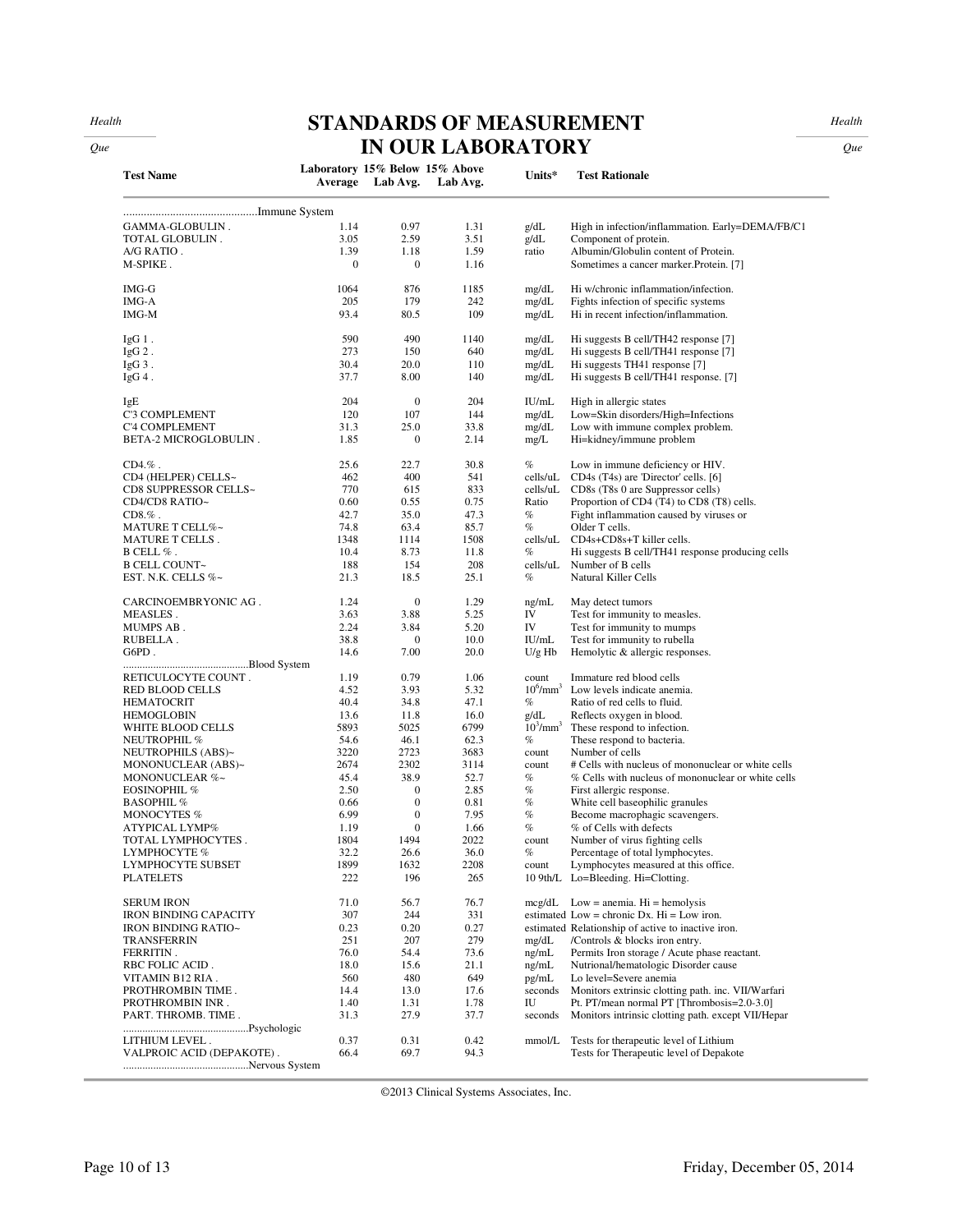*Health Que*

## **STANDARDS OF MEASUREMENT IN OUR LABORATORY**

*Health* 

*Que* 

| <b>Test Name</b>             | Laboratory 15% Below 15% Above | Average Lab Avg. | Lab Avg. | Units*             | <b>Test Rationale</b>                                         |
|------------------------------|--------------------------------|------------------|----------|--------------------|---------------------------------------------------------------|
|                              |                                |                  |          |                    |                                                               |
| GAMMA-GLOBULIN.              | 1.14                           | 0.97             | 1.31     | g/dL               | High in infection/inflammation. Early=DEMA/FB/C1              |
| TOTAL GLOBULIN.              | 3.05                           | 2.59             | 3.51     | g/dL               | Component of protein.                                         |
| A/G RATIO.                   | 1.39                           | 1.18             | 1.59     | ratio              | Albumin/Globulin content of Protein.                          |
| M-SPIKE.                     | $\mathbf{0}$                   | $\mathbf{0}$     | 1.16     |                    | Sometimes a cancer marker. Protein. [7]                       |
| $IMG-G$                      | 1064                           | 876              | 1185     | mg/dL              | Hi w/chronic inflammation/infection.                          |
| IMG-A                        | 205                            | 179              | 242      | mg/dL              | Fights infection of specific systems                          |
| IMG-M                        | 93.4                           | 80.5             | 109      | mg/dL              | Hi in recent infection/inflammation.                          |
| $IgG1$ .                     | 590                            | 490              | 1140     | mg/dL              | Hi suggests B cell/TH42 response [7]                          |
| $IgG2$ .                     | 273                            | 150              | 640      | mg/dL              | Hi suggests B cell/TH41 response [7]                          |
| $IgG3$ .                     | 30.4                           | 20.0             | 110      | mg/dL              | Hi suggests TH41 response [7]                                 |
| $IgG4$ .                     | 37.7                           | 8.00             | 140      | mg/dL              | Hi suggests B cell/TH41 response. [7]                         |
|                              | 204                            | $\mathbf{0}$     | 204      | IU/mL              |                                                               |
| IgE<br>C'3 COMPLEMENT        | 120                            | 107              | 144      | mg/dL              | High in allergic states<br>Low=Skin disorders/High=Infections |
| C'4 COMPLEMENT               | 31.3                           | 25.0             | 33.8     | mg/dL              | Low with immune complex problem.                              |
| <b>BETA-2 MICROGLOBULIN.</b> | 1.85                           | $\mathbf{0}$     | 2.14     |                    |                                                               |
|                              |                                |                  |          | mg/L               | Hi=kidney/immune problem                                      |
| $CD4.\%$ .                   | 25.6                           | 22.7             | 30.8     | $\%$               | Low in immune deficiency or HIV.                              |
| CD4 (HELPER) CELLS~          | 462                            | 400              | 541      | cells/uL           | CD4s (T4s) are 'Director' cells. [6]                          |
| CD8 SUPPRESSOR CELLS~        | 770                            | 615              | 833      | cells/uL           | CD8s (T8s 0 are Suppressor cells)                             |
| CD4/CD8 RATIO~               | 0.60                           | 0.55             | 0.75     | Ratio              | Proportion of CD4 (T4) to CD8 (T8) cells.                     |
| $CD8.\%$ .                   | 42.7                           | 35.0             | 47.3     | $\%$               | Fight inflammation caused by viruses or                       |
| MATURE T CELL%~              | 74.8                           | 63.4             | 85.7     | $\%$               | Older T cells.                                                |
| MATURE T CELLS.              | 1348                           | 1114             | 1508     | cells/uL           | CD4s+CD8s+T killer cells.                                     |
| $B$ CELL $%$ .               | 10.4                           | 8.73             | 11.8     | $\%$               | Hi suggests B cell/TH41 response producing cells              |
| <b>B CELL COUNT~</b>         | 188                            | 154              | 208      | cells/uL           | Number of B cells                                             |
| EST. N.K. CELLS %~           | 21.3                           | 18.5             | 25.1     | $\%$               | Natural Killer Cells                                          |
| CARCINOEMBRYONIC AG.         | 1.24                           | $\mathbf{0}$     | 1.29     | ng/mL              | May detect tumors                                             |
| MEASLES.                     | 3.63                           | 3.88             | 5.25     | IV                 | Test for immunity to measles.                                 |
| MUMPS AB.                    | 2.24                           | 3.84             | 5.20     | IV                 | Test for immunity to mumps                                    |
| RUBELLA.                     | 38.8                           | $\bf{0}$         | 10.0     | IU/mL              | Test for immunity to rubella                                  |
| G6PD.                        | 14.6                           | 7.00             | 20.0     | $U/g$ Hb           | Hemolytic & allergic responses.                               |
| RETICULOCYTE COUNT.          | 1.19                           | 0.79             | 1.06     | count              | Immature red blood cells                                      |
| RED BLOOD CELLS              | 4.52                           | 3.93             | 5.32     | $10^6/\text{mm}^3$ | Low levels indicate anemia.                                   |
| <b>HEMATOCRIT</b>            | 40.4                           | 34.8             | 47.1     | $\%$               | Ratio of red cells to fluid.                                  |
| <b>HEMOGLOBIN</b>            | 13.6                           | 11.8             | 16.0     | g/dL               | Reflects oxygen in blood.                                     |
| WHITE BLOOD CELLS            | 5893                           | 5025             | 6799     | $10^3/\text{mm}^3$ | These respond to infection.                                   |
| NEUTROPHIL %                 | 54.6                           | 46.1             | 62.3     | $\%$               | These respond to bacteria.                                    |
| NEUTROPHILS (ABS)~           | 3220                           | 2723             | 3683     | count              | Number of cells                                               |
| MONONUCLEAR (ABS)~           | 2674                           | 2302             | 3114     | count              | # Cells with nucleus of mononuclear or white cells            |
| MONONUCLEAR %~               | 45.4                           | 38.9             | 52.7     | $\%$               | % Cells with nucleus of mononuclear or white cells            |
| <b>EOSINOPHIL %</b>          | 2.50                           | $\boldsymbol{0}$ | 2.85     | $\%$               | First allergic response.                                      |
| <b>BASOPHIL</b> %            | 0.66                           | $\boldsymbol{0}$ | 0.81     | $\%$               | White cell baseophilic granules                               |
| MONOCYTES %                  | 6.99                           | $\mathbf{0}$     | 7.95     | $\%$               | Become macrophagic scavengers.                                |
| ATYPICAL LYMP%               | 1.19                           | $\boldsymbol{0}$ | 1.66     | %                  | % of Cells with defects                                       |
| TOTAL LYMPHOCYTES.           | 1804                           | 1494             | 2022     | count              | Number of virus fighting cells                                |
| LYMPHOCYTE %                 | 32.2                           | 26.6             | 36.0     | $\%$               | Percentage of total lymphocytes.                              |
| LYMPHOCYTE SUBSET            | 1899                           | 1632             | 2208     | count              | Lymphocytes measured at this office.                          |
| <b>PLATELETS</b>             | 222                            | 196              | 265      |                    | 10 9th/L Lo=Bleeding. Hi=Clotting.                            |
| <b>SERUM IRON</b>            | 71.0                           | 56.7             | 76.7     |                    | $mcg/dL$ Low = anemia. Hi = hemolysis                         |
| <b>IRON BINDING CAPACITY</b> | 307                            | 244              | 331      |                    | estimated Low = chronic Dx. $Hi = Low$ iron.                  |
| IRON BINDING RATIO~          | 0.23                           | 0.20             | 0.27     |                    | estimated Relationship of active to inactive iron.            |
| TRANSFERRIN                  | 251                            | 207              | 279      | mg/dL              | /Controls & blocks iron entry.                                |
| FERRITIN.                    | 76.0                           | 54.4             | 73.6     | ng/mL              | Permits Iron storage / Acute phase reactant.                  |
| RBC FOLIC ACID.              | 18.0                           | 15.6             | 21.1     | ng/mL              | Nutrional/hematologic Disorder cause                          |
| VITAMIN B12 RIA.             | 560                            | 480              | 649      | pg/mL              | Lo level=Severe anemia                                        |
| PROTHROMBIN TIME.            | 14.4                           | 13.0             | 17.6     | seconds            | Monitors extrinsic clotting path. inc. VII/Warfari            |
| PROTHROMBIN INR.             | 1.40                           | 1.31             | 1.78     | IU                 | Pt. PT/mean normal PT [Thrombosis=2.0-3.0]                    |
| PART. THROMB. TIME.          | 31.3                           | 27.9             | 37.7     | seconds            | Monitors intrinsic clotting path. except VII/Hepar            |
|                              |                                | 0.31             |          |                    |                                                               |
| LITHIUM LEVEL.               | 0.37                           |                  | 0.42     | mmol/L             | Tests for therapeutic level of Lithium                        |
| VALPROIC ACID (DEPAKOTE).    | 66.4                           | 69.7             | 94.3     |                    | Tests for Therapeutic level of Depakote                       |
|                              |                                |                  |          |                    |                                                               |

©2013 Clinical Systems Associates, Inc.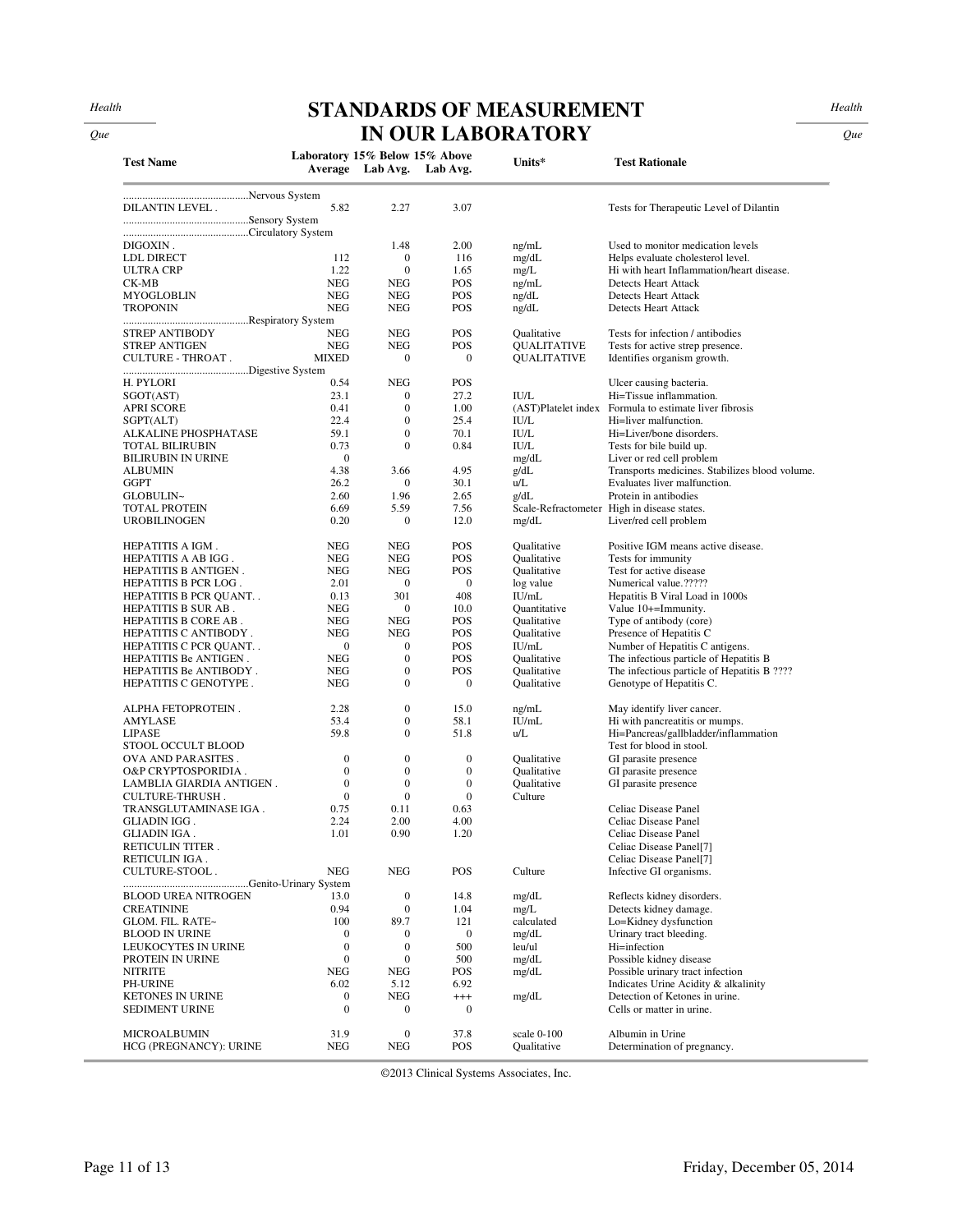## **STANDARDS OF MEASUREMENT IN OUR LABORATORY**

*Health* 

*Que* 

| <b>Test Name</b>                                    | Laboratory 15% Below 15% Above       |                                | Average Lab Avg. Lab Avg.        | Units*                     | <b>Test Rationale</b>                                                    |
|-----------------------------------------------------|--------------------------------------|--------------------------------|----------------------------------|----------------------------|--------------------------------------------------------------------------|
|                                                     |                                      |                                |                                  |                            |                                                                          |
| <b>DILANTIN LEVEL.</b>                              | 5.82                                 | 2.27                           | 3.07                             |                            | Tests for Therapeutic Level of Dilantin                                  |
|                                                     |                                      |                                |                                  |                            |                                                                          |
|                                                     |                                      |                                |                                  |                            |                                                                          |
| DIGOXIN.                                            |                                      | 1.48                           | 2.00                             | ng/mL                      | Used to monitor medication levels                                        |
| LDL DIRECT                                          | 112<br>1.22                          | $\mathbf{0}$<br>$\mathbf{0}$   | 116                              | mg/dL                      | Helps evaluate cholesterol level.                                        |
| <b>ULTRA CRP</b><br>CK-MB                           | <b>NEG</b>                           | <b>NEG</b>                     | 1.65<br>POS                      | mg/L<br>ng/mL              | Hi with heart Inflammation/heart disease.<br><b>Detects Heart Attack</b> |
| MYOGLOBLIN                                          | <b>NEG</b>                           | <b>NEG</b>                     | POS                              | ng/dL                      | Detects Heart Attack                                                     |
| <b>TROPONIN</b>                                     | <b>NEG</b>                           | <b>NEG</b>                     | POS                              | ng/dL                      | <b>Detects Heart Attack</b>                                              |
|                                                     |                                      |                                |                                  |                            |                                                                          |
| <b>STREP ANTIBODY</b>                               | <b>NEG</b>                           | <b>NEG</b>                     | POS                              | Qualitative                | Tests for infection / antibodies                                         |
| <b>STREP ANTIGEN</b><br>CULTURE - THROAT.           | <b>NEG</b><br><b>MIXED</b>           | <b>NEG</b><br>$\mathbf{0}$     | POS<br>$\mathbf{0}$              | QUALITATIVE<br>QUALITATIVE | Tests for active strep presence.                                         |
|                                                     |                                      |                                |                                  |                            | Identifies organism growth.                                              |
| H. PYLORI                                           | 0.54                                 | <b>NEG</b>                     | POS                              |                            | Ulcer causing bacteria.                                                  |
| SGOT(AST)                                           | 23.1                                 | $\mathbf{0}$                   | 27.2                             | <b>IU/L</b>                | Hi=Tissue inflammation.                                                  |
| <b>APRI SCORE</b>                                   | 0.41                                 | $\mathbf{0}$                   | 1.00                             | (AST)Platelet index        | Formula to estimate liver fibrosis                                       |
| SGPT(ALT)                                           | 22.4                                 | $\mathbf{0}$                   | 25.4                             | <b>IU/L</b>                | Hi=liver malfunction.                                                    |
| ALKALINE PHOSPHATASE                                | 59.1                                 | $\overline{0}$                 | 70.1                             | <b>IU/L</b>                | Hi=Liver/bone disorders.                                                 |
| <b>TOTAL BILIRUBIN</b><br><b>BILIRUBIN IN URINE</b> | 0.73<br>$\mathbf{0}$                 | $\overline{0}$                 | 0.84                             | <b>IU/L</b><br>mg/dL       | Tests for bile build up.<br>Liver or red cell problem                    |
| <b>ALBUMIN</b>                                      | 4.38                                 | 3.66                           | 4.95                             | g/dL                       | Transports medicines. Stabilizes blood volume.                           |
| <b>GGPT</b>                                         | 26.2                                 | $\mathbf{0}$                   | 30.1                             | u/L                        | Evaluates liver malfunction.                                             |
| GLOBULIN~                                           | 2.60                                 | 1.96                           | 2.65                             | g/dL                       | Protein in antibodies                                                    |
| TOTAL PROTEIN                                       | 6.69                                 | 5.59                           | 7.56                             |                            | Scale-Refractometer High in disease states.                              |
| <b>UROBILINOGEN</b>                                 | 0.20                                 | $\boldsymbol{0}$               | 12.0                             | mg/dL                      | Liver/red cell problem                                                   |
| HEPATITIS A IGM.                                    | <b>NEG</b>                           | <b>NEG</b>                     | POS                              | Qualitative                | Positive IGM means active disease.                                       |
| HEPATITIS A AB IGG.                                 | <b>NEG</b>                           | <b>NEG</b>                     | POS                              | Oualitative                | Tests for immunity                                                       |
| HEPATITIS B ANTIGEN.                                | <b>NEG</b>                           | <b>NEG</b>                     | POS                              | Qualitative                | Test for active disease                                                  |
| HEPATITIS B PCR LOG.                                | 2.01                                 | $\mathbf{0}$                   | $\mathbf{0}$                     | log value                  | Numerical value.?????                                                    |
| HEPATITIS B PCR QUANT                               | 0.13                                 | 301                            | 408                              | IU/mL                      | Hepatitis B Viral Load in 1000s                                          |
| HEPATITIS B SUR AB.                                 | <b>NEG</b>                           | $\mathbf{0}$                   | 10.0                             | Quantitative               | Value 10+=Immunity.                                                      |
| HEPATITIS B CORE AB.                                | <b>NEG</b><br><b>NEG</b>             | <b>NEG</b><br><b>NEG</b>       | POS<br>POS                       | Oualitative                | Type of antibody (core)                                                  |
| HEPATITIS C ANTIBODY.<br>HEPATITIS C PCR QUANT      | $\theta$                             | $\mathbf{0}$                   | POS                              | Qualitative<br>IU/mL       | Presence of Hepatitis C<br>Number of Hepatitis C antigens.               |
| HEPATITIS Be ANTIGEN.                               | <b>NEG</b>                           | $\boldsymbol{0}$               | POS                              | Qualitative                | The infectious particle of Hepatitis B                                   |
| HEPATITIS Be ANTIBODY.                              | <b>NEG</b>                           | $\boldsymbol{0}$               | POS                              | Qualitative                | The infectious particle of Hepatitis B ????                              |
| HEPATITIS C GENOTYPE.                               | <b>NEG</b>                           | $\mathbf{0}$                   | $\mathbf{0}$                     | Qualitative                | Genotype of Hepatitis C.                                                 |
| ALPHA FETOPROTEIN.                                  | 2.28                                 | $\boldsymbol{0}$               | 15.0                             | ng/mL                      | May identify liver cancer.                                               |
| AMYLASE                                             | 53.4                                 | $\mathbf{0}$                   | 58.1                             | IU/mL                      | Hi with pancreatitis or mumps.                                           |
| <b>LIPASE</b>                                       | 59.8                                 | $\mathbf{0}$                   | 51.8                             | u/L                        | Hi=Pancreas/gallbladder/inflammation                                     |
| STOOL OCCULT BLOOD                                  |                                      |                                |                                  |                            | Test for blood in stool.                                                 |
| OVA AND PARASITES.                                  | $\mathbf{0}$                         | $\boldsymbol{0}$               | $\mathbf{0}$                     | Oualitative                | GI parasite presence                                                     |
| O&P CRYPTOSPORIDIA.                                 | $\mathbf{0}$                         | $\overline{0}$                 | $\mathbf{0}$                     | Qualitative                | GI parasite presence                                                     |
| LAMBLIA GIARDIA ANTIGEN.                            | $\mathbf{0}$                         | $\mathbf{0}$<br>$\overline{0}$ | $\boldsymbol{0}$<br>$\mathbf{0}$ | Qualitative                | GI parasite presence                                                     |
| CULTURE-THRUSH.<br>TRANSGLUTAMINASE IGA.            | $\mathbf{0}$<br>0.75                 | 0.11                           | 0.63                             | Culture                    | Celiac Disease Panel                                                     |
| GLIADIN IGG.                                        | 2.24                                 | 2.00                           | 4.00                             |                            | Celiac Disease Panel                                                     |
| GLIADIN IGA .                                       | 1.01                                 | 0.90                           | 1.20                             |                            | Celiac Disease Panel                                                     |
| RETICULIN TITER .                                   |                                      |                                |                                  |                            | Celiac Disease Panel[7]                                                  |
| RETICULINIGA.                                       |                                      |                                |                                  |                            | Celiac Disease Panel[7]                                                  |
| CULTURE-STOOL.                                      | <b>NEG</b>                           | <b>NEG</b>                     | POS                              | Culture                    | Infective GI organisms.                                                  |
| <b>BLOOD UREA NITROGEN</b>                          | 13.0                                 | $\boldsymbol{0}$               | 14.8                             | mg/dL                      | Reflects kidney disorders.                                               |
| <b>CREATININE</b>                                   | 0.94                                 | 0                              | 1.04                             | mg/L                       | Detects kidney damage.                                                   |
| GLOM. FIL. RATE~                                    | 100                                  | 89.7                           | 121                              | calculated                 | Lo=Kidney dysfunction                                                    |
| <b>BLOOD IN URINE</b>                               | $\boldsymbol{0}$                     | 0                              | $\boldsymbol{0}$                 | mg/dL                      | Urinary tract bleeding.                                                  |
| LEUKOCYTES IN URINE                                 | $\boldsymbol{0}$                     | $\boldsymbol{0}$               | 500                              | leu/ul                     | Hi=infection                                                             |
| PROTEIN IN URINE                                    | $\mathbf{0}$                         | $\boldsymbol{0}$               | 500                              | mg/dL                      | Possible kidney disease                                                  |
| <b>NITRITE</b>                                      | <b>NEG</b>                           | NEG                            | POS                              | mg/dL                      | Possible urinary tract infection                                         |
| PH-URINE                                            | 6.02                                 | 5.12                           | 6.92                             |                            | Indicates Urine Acidity & alkalinity                                     |
| <b>KETONES IN URINE</b><br>SEDIMENT URINE           | $\boldsymbol{0}$<br>$\boldsymbol{0}$ | <b>NEG</b><br>0                | $^{+++}$<br>$\boldsymbol{0}$     | mg/dL                      | Detection of Ketones in urine.<br>Cells or matter in urine.              |
|                                                     |                                      |                                |                                  |                            |                                                                          |
| MICROALBUMIN                                        | 31.9                                 | 0                              | 37.8                             | scale 0-100                | Albumin in Urine                                                         |
| HCG (PREGNANCY): URINE                              | NEG                                  | NEG                            | POS                              | Qualitative                | Determination of pregnancy.                                              |

©2013 Clinical Systems Associates, Inc.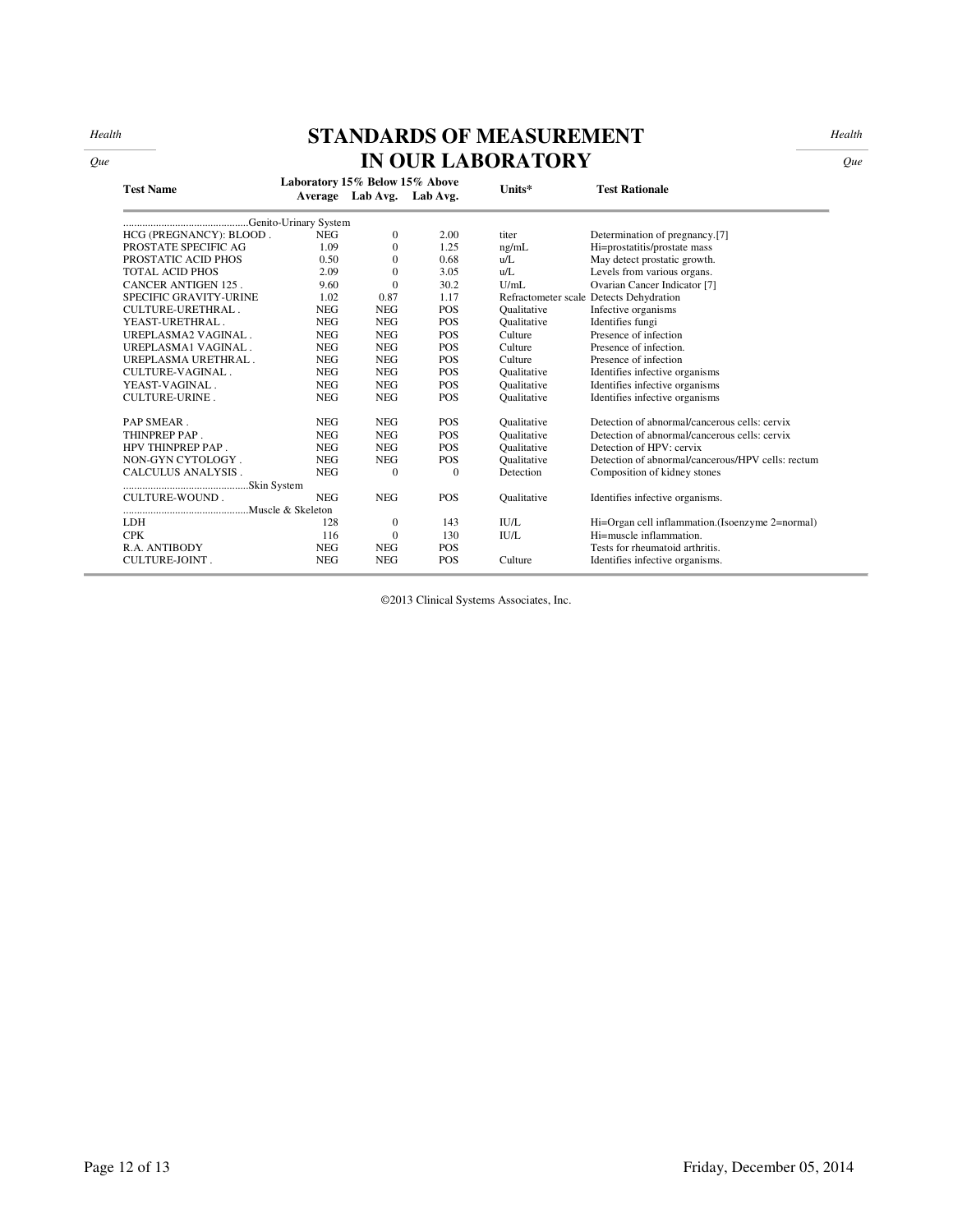*Health* 

# **STANDARDS OF MEASUREMENT**

*Health* 

|                            | <b>IN OUR LABORATORY</b> |                                                             |              |                    |                                                   |  |
|----------------------------|--------------------------|-------------------------------------------------------------|--------------|--------------------|---------------------------------------------------|--|
| <b>Test Name</b>           |                          | Laboratory 15% Below 15% Above<br>Average Lab Avg. Lab Avg. |              | Units*             | <b>Test Rationale</b>                             |  |
|                            | Genito-Urinary System    |                                                             |              |                    |                                                   |  |
| HCG (PREGNANCY): BLOOD.    | <b>NEG</b>               | $\mathbf{0}$                                                | 2.00         | titer              | Determination of pregnancy.[7]                    |  |
| PROSTATE SPECIFIC AG       | 1.09                     | $\Omega$                                                    | 1.25         | ng/mL              | Hi=prostatitis/prostate mass                      |  |
| PROSTATIC ACID PHOS        | 0.50                     | $\Omega$                                                    | 0.68         | u/L                | May detect prostatic growth.                      |  |
| <b>TOTAL ACID PHOS</b>     | 2.09                     | $\Omega$                                                    | 3.05         | u/L                | Levels from various organs.                       |  |
| <b>CANCER ANTIGEN 125.</b> | 9.60                     | $\Omega$                                                    | 30.2         | U/mL               | Ovarian Cancer Indicator [7]                      |  |
| SPECIFIC GRAVITY-URINE     | 1.02                     | 0.87                                                        | 1.17         |                    | Refractometer scale Detects Dehydration           |  |
| CULTURE-URETHRAL.          | <b>NEG</b>               | <b>NEG</b>                                                  | <b>POS</b>   | Qualitative        | Infective organisms                               |  |
| YEAST-URETHRAL.            | <b>NEG</b>               | <b>NEG</b>                                                  | <b>POS</b>   | Oualitative        | Identifies fungi                                  |  |
| UREPLASMA2 VAGINAL.        | <b>NEG</b>               | <b>NEG</b>                                                  | <b>POS</b>   | Culture            | Presence of infection                             |  |
| UREPLASMA1 VAGINAL.        | <b>NEG</b>               | <b>NEG</b>                                                  | <b>POS</b>   | Culture            | Presence of infection.                            |  |
| UREPLASMA URETHRAL.        | <b>NEG</b>               | <b>NEG</b>                                                  | <b>POS</b>   | Culture            | Presence of infection                             |  |
| CULTURE-VAGINAL.           | <b>NEG</b>               | <b>NEG</b>                                                  | <b>POS</b>   | <b>Qualitative</b> | Identifies infective organisms                    |  |
| YEAST-VAGINAL.             | <b>NEG</b>               | <b>NEG</b>                                                  | <b>POS</b>   | <b>Qualitative</b> | Identifies infective organisms                    |  |
| <b>CULTURE-URINE.</b>      | <b>NEG</b>               | <b>NEG</b>                                                  | <b>POS</b>   | <b>Qualitative</b> | Identifies infective organisms                    |  |
| PAP SMEAR.                 | <b>NEG</b>               | <b>NEG</b>                                                  | <b>POS</b>   | Oualitative        | Detection of abnormal/cancerous cells: cervix     |  |
| THINPREP PAP.              | <b>NEG</b>               | <b>NEG</b>                                                  | <b>POS</b>   | Oualitative        | Detection of abnormal/cancerous cells: cervix     |  |
| HPV THINPREP PAP.          | <b>NEG</b>               | <b>NEG</b>                                                  | <b>POS</b>   | <b>Qualitative</b> | Detection of HPV: cervix                          |  |
| NON-GYN CYTOLOGY.          | <b>NEG</b>               | <b>NEG</b>                                                  | <b>POS</b>   | <b>Qualitative</b> | Detection of abnormal/cancerous/HPV cells: rectum |  |
| CALCULUS ANALYSIS.         | <b>NEG</b>               | $\mathbf{0}$                                                | $\mathbf{0}$ | Detection          | Composition of kidney stones                      |  |
|                            |                          |                                                             |              |                    |                                                   |  |
| CULTURE-WOUND.             | <b>NEG</b>               | <b>NEG</b>                                                  | <b>POS</b>   | <b>Qualitative</b> | Identifies infective organisms.                   |  |
|                            |                          |                                                             |              |                    |                                                   |  |
| <b>LDH</b>                 | 128                      | $\mathbf{0}$                                                | 143          | <b>IU/L</b>        | Hi=Organ cell inflammation.(Isoenzyme 2=normal)   |  |
| <b>CPK</b>                 | 116                      | $\Omega$                                                    | 130          | <b>IU/L</b>        | Hi=muscle inflammation.                           |  |
| R.A. ANTIBODY              | <b>NEG</b>               | <b>NEG</b>                                                  | <b>POS</b>   |                    | Tests for rheumatoid arthritis.                   |  |

©2013 Clinical Systems Associates, Inc.

CULTURE-JOINT . NEG NEG POS Culture Identifies infective organisms.